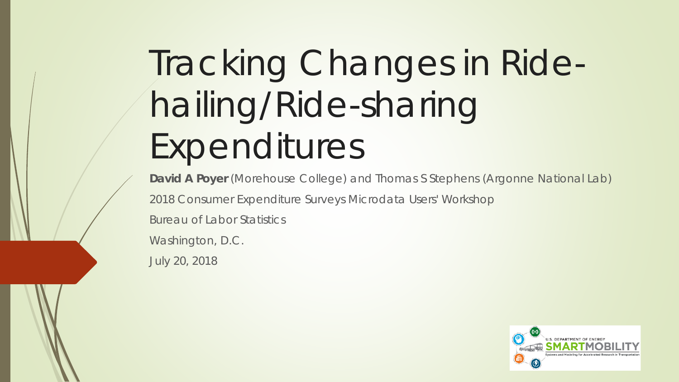# Tracking Changes in Ridehailing/Ride-sharing Expenditures

**David A Poyer** (Morehouse College) and Thomas S Stephens (Argonne National Lab) 2018 Consumer Expenditure Surveys Microdata Users' Workshop Bureau of Labor Statistics Washington, D.C.

July 20, 2018

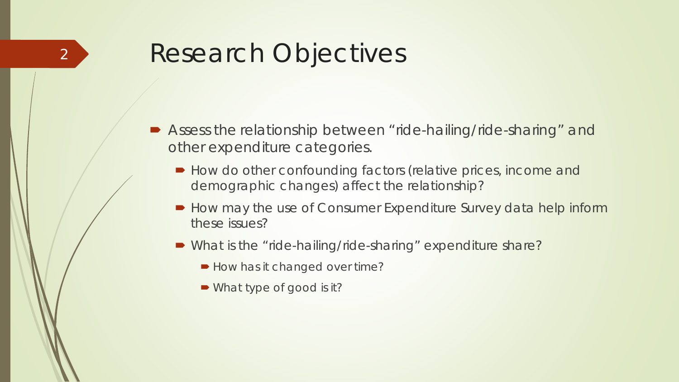#### Research Objectives

- Assess the relationship between "ride-hailing/ride-sharing" and other expenditure categories.
	- How do other confounding factors (relative prices, income and demographic changes) affect the relationship?
	- How may the use of Consumer Expenditure Survey data help inform these issues?
	- What is the "ride-hailing/ride-sharing" expenditure share?
		- How has it changed over time?
		- What type of good is it?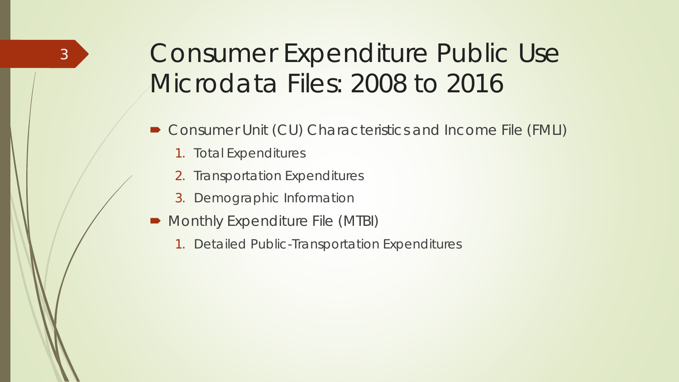### Consumer Expenditure Public Use Microdata Files: 2008 to 2016

- *Consumer Unit (CU) Characteristics and Income File (FMLI)*
	- *1. Total Expenditures*

- *2. Transportation Expenditures*
- *3. Demographic Information*
- *Monthly Expenditure File (MTBI)* 
	- *1. Detailed Public-Transportation Expenditures*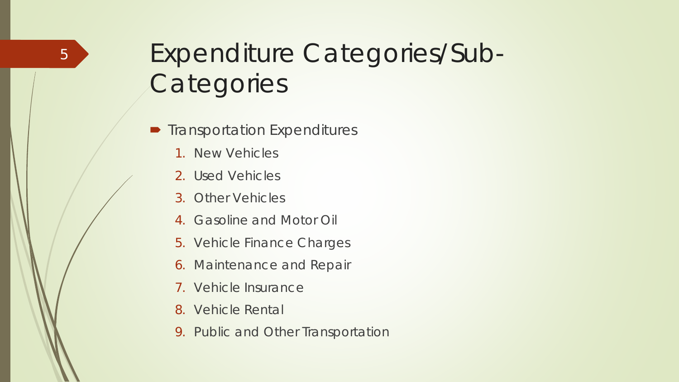# Expenditure Categories/Sub-**Categories**

- **Transportation Expenditures** 
	- 1. New Vehicles
	- 2. Used Vehicles
	- 3. Other Vehicles
	- 4. Gasoline and Motor Oil
	- 5. Vehicle Finance Charges
	- 6. Maintenance and Repair
	- 7. Vehicle Insurance
	- 8. Vehicle Rental
	- 9. Public and Other Transportation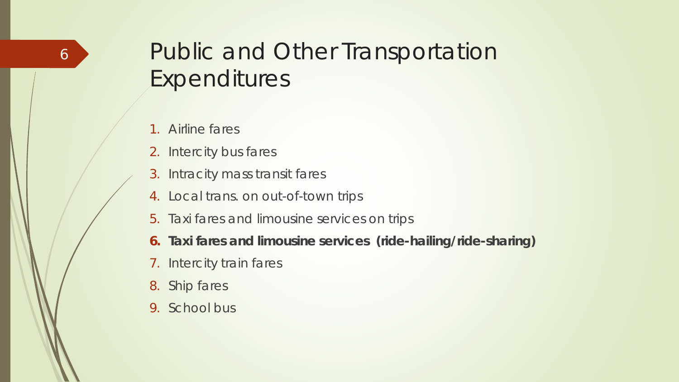#### Public and Other Transportation Expenditures

- 1. Airline fares
- 2. Intercity bus fares
- 3. Intracity mass transit fares
- 4. Local trans. on out-of-town trips
- 5. Taxi fares and limousine services on trips
- **6. Taxi fares and limousine services (ride-hailing/ride-sharing)**
- 7. Intercity train fares
- 8. Ship fares
- 9. School bus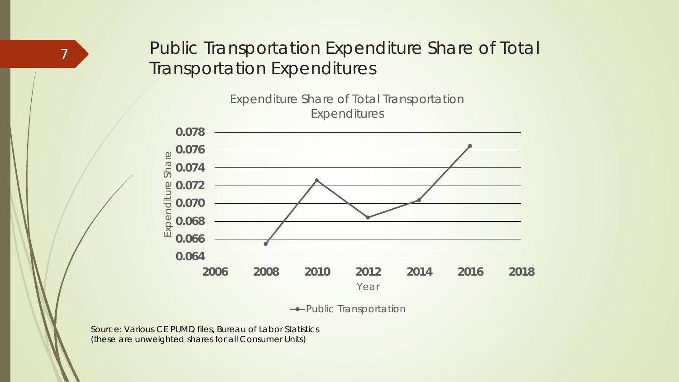#### Public Transportation Expenditure Share of Total Transportation Expenditures





**-**Public Transportation

Source: Various CE PUMD files, Bureau of Labor Statistics (these are unweighted shares for all Consumer Units)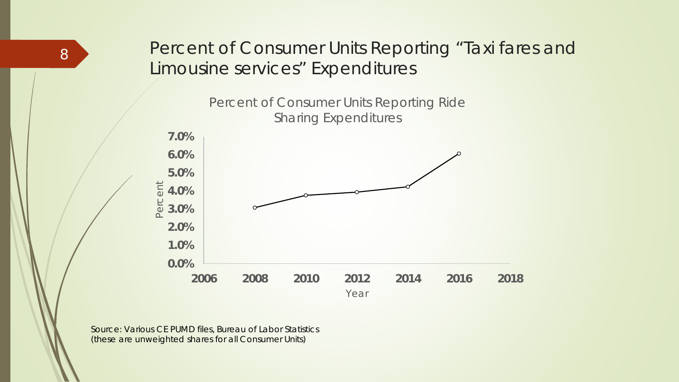#### Percent of Consumer Units Reporting "Taxi fares and Limousine services" Expenditures

Percent of Consumer Units Reporting Ride Sharing Expenditures



Source: Various CE PUMD files, Bureau of Labor Statistics (these are unweighted shares for all Consumer Units)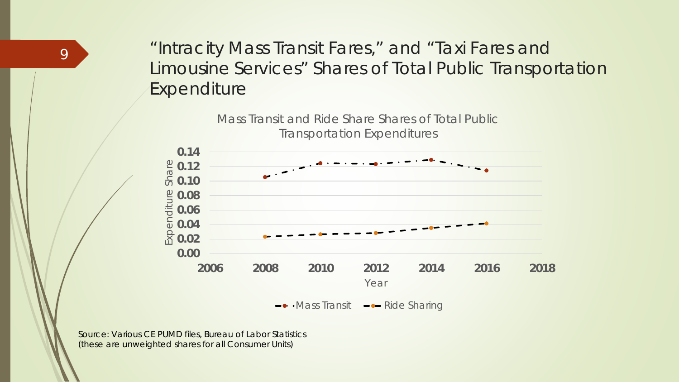"Intracity Mass Transit Fares," and "Taxi Fares and Limousine Services" Shares of Total Public Transportation Expenditure



Source: Various CE PUMD files, Bureau of Labor Statistics (these are unweighted shares for all Consumer Units)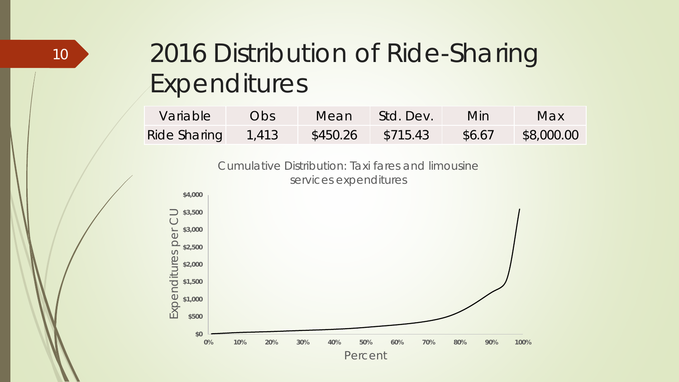# 2016 Distribution of Ride-Sharing Expenditures

| Variable           | Obs. | Mean     | Std. Dev. | Min.   | Max        |
|--------------------|------|----------|-----------|--------|------------|
| Ride Sharing 1,413 |      | \$450.26 | \$715.43  | \$6.67 | \$8,000.00 |

Cumulative Distribution: Taxi fares and limousine services expenditures

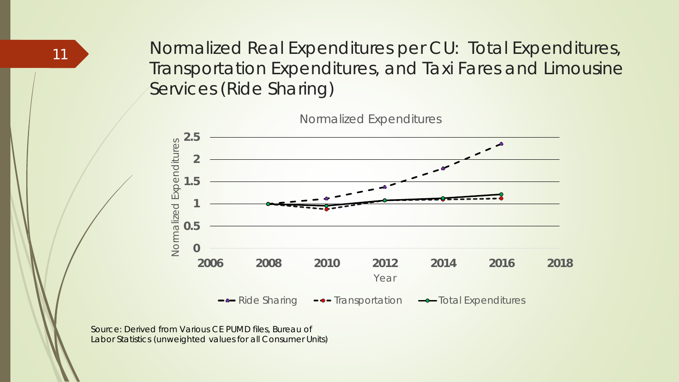Normalized Real Expenditures per CU: Total Expenditures, Transportation Expenditures, and Taxi Fares and Limousine Services (Ride Sharing)



Normalized Expenditures

Source: Derived from Various CE PUMD files, Bureau of Labor Statistics (unweighted values for all Consumer Units)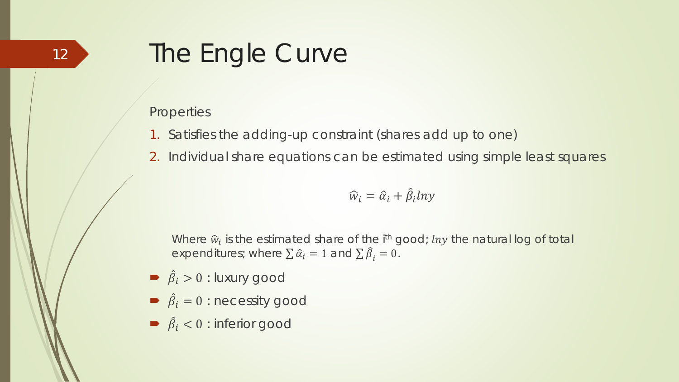### The Engle Curve

#### **Properties**

- 1. Satisfies the adding-up constraint (shares add up to one)
- 2. Individual share equations can be estimated using simple least squares

$$
\widehat{w}_i = \widehat{\alpha}_i + \widehat{\beta}_i \ln y
$$

Where  $\hat{w}_i$  is the estimated share of the  $i^{\text{th}}$  good; *lny* the natural log of total expenditures; where  $\sum \hat{\alpha}_i = 1$  and  $\sum \hat{\beta}_i = 0$ .

- $\Rightarrow$   $\hat{\beta}_i > 0$  : luxury good
- $\hat{\beta}_i = 0$ : necessity good
- $\Rightarrow$   $\hat{\beta}_i$  < 0 : inferior good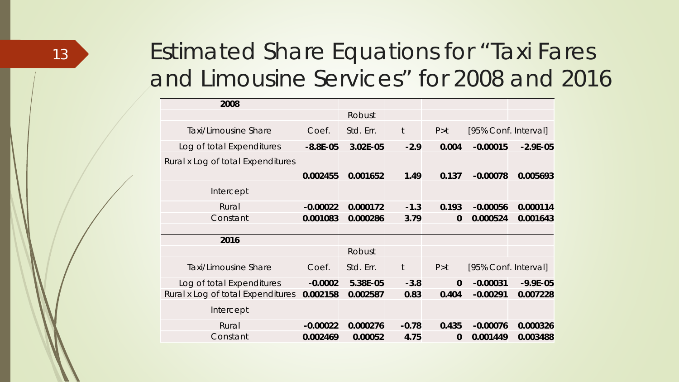#### Estimated Share Equations for "Taxi Fares and Limousine Services" for 2008 and 2016

| 2008                              |              |           |              |              |                      |              |
|-----------------------------------|--------------|-----------|--------------|--------------|----------------------|--------------|
|                                   |              | Robust    |              |              |                      |              |
| <b>Taxi/Limousine Share</b>       | Coef.        | Std. Err. | $\mathsf{t}$ | P > t        | [95% Conf. Interval] |              |
| Log of total Expenditures         | $-8.8E - 05$ | 3.02E-05  | $-2.9$       | 0.004        | $-0.00015$           | $-2.9E-05$   |
| Rural x Log of total Expenditures |              |           |              |              |                      |              |
|                                   | 0.002455     | 0.001652  | 1.49         | 0.137        | $-0.00078$           | 0.005693     |
| Intercept                         |              |           |              |              |                      |              |
| Rural                             | $-0.00022$   | 0.000172  | $-1.3$       | 0.193        | $-0.00056$           | 0.000114     |
| Constant                          | 0.001083     | 0.000286  | 3.79         | $\mathbf{0}$ | 0.000524             | 0.001643     |
|                                   |              |           |              |              |                      |              |
| 2016                              |              |           |              |              |                      |              |
|                                   |              | Robust    |              |              |                      |              |
| <b>Taxi/Limousine Share</b>       | Coef.        | Std. Err. | $\mathsf t$  | P > t        | [95% Conf. Interval] |              |
| Log of total Expenditures         | $-0.0002$    | 5.38E-05  | $-3.8$       | $\mathbf{0}$ | $-0.00031$           | $-9.9E - 05$ |
| Rural x Log of total Expenditures | 0.002158     | 0.002587  | 0.83         | 0.404        | $-0.00291$           | 0.007228     |
| Intercept                         |              |           |              |              |                      |              |
| Rural                             | $-0.00022$   | 0.000276  | $-0.78$      | 0.435        | $-0.00076$           | 0.000326     |
| Constant                          | 0.002469     | 0.00052   | 4.75         | $\bf{0}$     | 0.001449             | 0.003488     |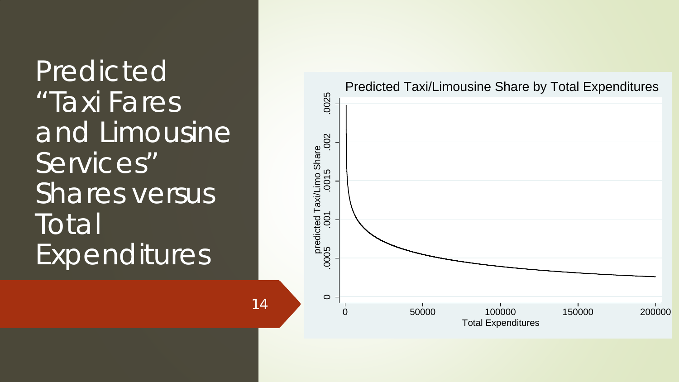Predicted "Taxi Fares and Limousine Services" Shares versus Total Expenditures

14



Predicted Taxi/Limousine Share by Total Expenditures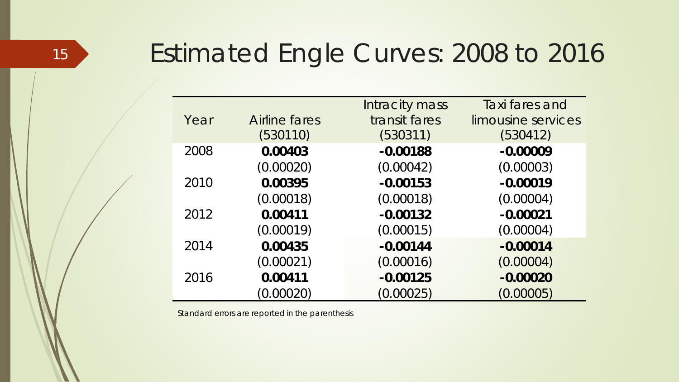### <sup>15</sup> Estimated Engle Curves: 2008 to 2016

|      |               | Intracity mass | Taxi fares and     |
|------|---------------|----------------|--------------------|
| Year | Airline fares | transit fares  | limousine services |
|      | (530110)      | (530311)       | (530412)           |
| 2008 | 0.00403       | $-0.00188$     | $-0.00009$         |
|      | (0.00020)     | (0.00042)      | (0.00003)          |
| 2010 | 0.00395       | $-0.00153$     | $-0.00019$         |
|      | (0.00018)     | (0.00018)      | (0.00004)          |
| 2012 | 0.00411       | $-0.00132$     | $-0.00021$         |
|      | (0.00019)     | (0.00015)      | (0.00004)          |
| 2014 | 0.00435       | $-0.00144$     | $-0.00014$         |
|      | (0.00021)     | (0.00016)      | (0.00004)          |
| 2016 | 0.00411       | $-0.00125$     | $-0.00020$         |
|      | (0.00020)     | (0.00025)      | (0.00005)          |

Standard errors are reported in the parenthesis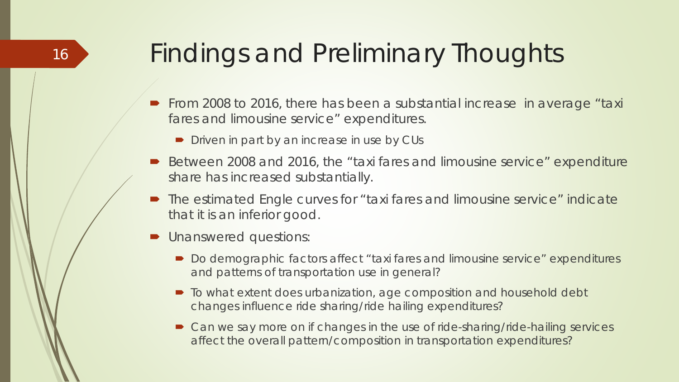### Findings and Preliminary Thoughts

- From 2008 to 2016, there has been a substantial increase in average "taxi fares and limousine service" expenditures.
	- $\blacksquare$  Driven in part by an increase in use by CUs
- Between 2008 and 2016, the "taxi fares and limousine service" expenditure share has increased substantially.
- The estimated Engle curves for "taxi fares and limousine service" indicate that it is an inferior good.
- **D** Unanswered questions:

- Do demographic factors affect "taxi fares and limousine service" expenditures and patterns of transportation use in general?
- To what extent does urbanization, age composition and household debt changes influence ride sharing/ride hailing expenditures?
- Can we say more on if changes in the use of ride-sharing/ride-hailing services affect the overall pattern/composition in transportation expenditures?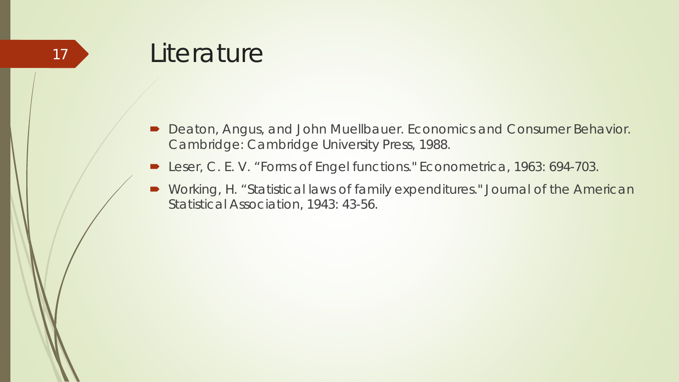- Deaton, Angus, and John Muellbauer. *Economics and Consumer Behavior*. Cambridge: Cambridge University Press, 1988.
- Leser, C. E. V. "Forms of Engel functions." *Econometrica*, 1963: 694-703.
- Working, H. "Statistical laws of family expenditures." *Journal of the American Statistical Association*, 1943: 43-56.